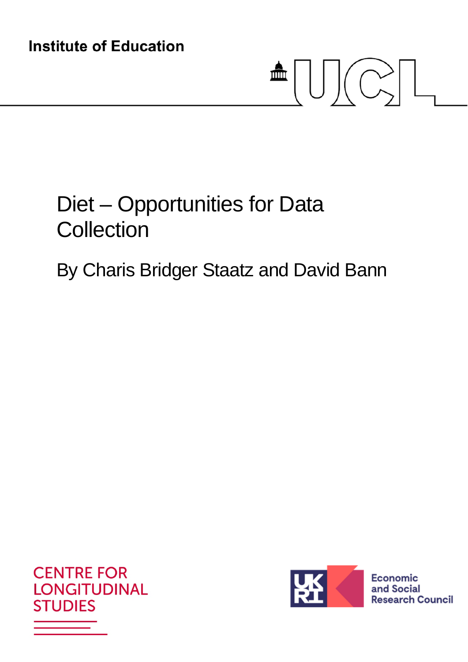**Institute of Education** 

# $\triangleq \bigcup \bigcup \biggl(\bigcirc\limits_{n=1}^{\infty} \bigl[ \bigcup\limits_{n=1}^{\infty}$

# Diet – Opportunities for Data **Collection**

# By Charis Bridger Staatz and David Bann



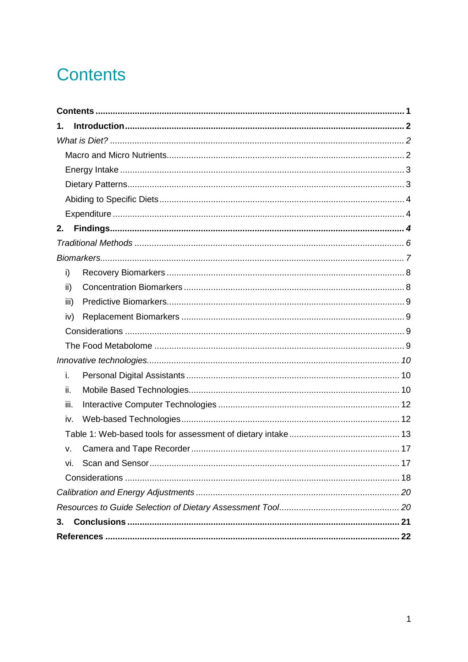# **Contents**

| 1.   |  |  |  |  |  |
|------|--|--|--|--|--|
|      |  |  |  |  |  |
|      |  |  |  |  |  |
|      |  |  |  |  |  |
|      |  |  |  |  |  |
|      |  |  |  |  |  |
|      |  |  |  |  |  |
| 2.   |  |  |  |  |  |
|      |  |  |  |  |  |
|      |  |  |  |  |  |
| i)   |  |  |  |  |  |
| ii)  |  |  |  |  |  |
| iii) |  |  |  |  |  |
| iv)  |  |  |  |  |  |
|      |  |  |  |  |  |
|      |  |  |  |  |  |
|      |  |  |  |  |  |
| i.   |  |  |  |  |  |
| ii.  |  |  |  |  |  |
| iii. |  |  |  |  |  |
| iv.  |  |  |  |  |  |
|      |  |  |  |  |  |
| v.   |  |  |  |  |  |
| vi.  |  |  |  |  |  |
|      |  |  |  |  |  |
|      |  |  |  |  |  |
|      |  |  |  |  |  |
| 3.   |  |  |  |  |  |
|      |  |  |  |  |  |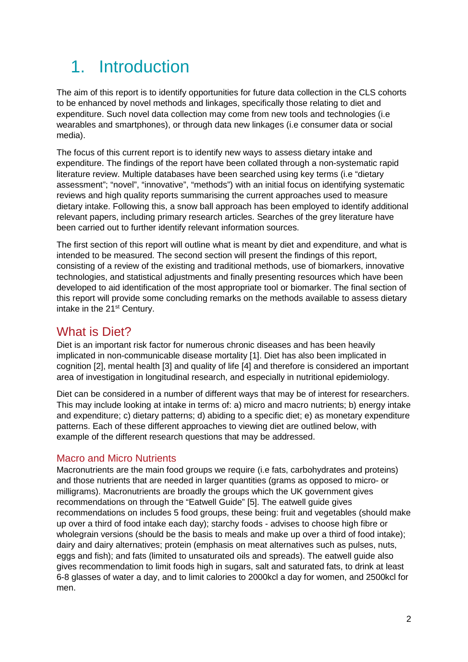# 1. Introduction

The aim of this report is to identify opportunities for future data collection in the CLS cohorts to be enhanced by novel methods and linkages, specifically those relating to diet and expenditure. Such novel data collection may come from new tools and technologies (i.e wearables and smartphones), or through data new linkages (i.e consumer data or social media).

The focus of this current report is to identify new ways to assess dietary intake and expenditure. The findings of the report have been collated through a non-systematic rapid literature review. Multiple databases have been searched using key terms (i.e "dietary assessment"; "novel", "innovative", "methods") with an initial focus on identifying systematic reviews and high quality reports summarising the current approaches used to measure dietary intake. Following this, a snow ball approach has been employed to identify additional relevant papers, including primary research articles. Searches of the grey literature have been carried out to further identify relevant information sources.

The first section of this report will outline what is meant by diet and expenditure, and what is intended to be measured. The second section will present the findings of this report, consisting of a review of the existing and traditional methods, use of biomarkers, innovative technologies, and statistical adjustments and finally presenting resources which have been developed to aid identification of the most appropriate tool or biomarker. The final section of this report will provide some concluding remarks on the methods available to assess dietary intake in the 21<sup>st</sup> Century.

## What is Diet?

Diet is an important risk factor for numerous chronic diseases and has been heavily implicated in non-communicable disease mortality [1]. Diet has also been implicated in cognition [2], mental health [3] and quality of life [4] and therefore is considered an important area of investigation in longitudinal research, and especially in nutritional epidemiology.

Diet can be considered in a number of different ways that may be of interest for researchers. This may include looking at intake in terms of: a) micro and macro nutrients; b) energy intake and expenditure; c) dietary patterns; d) abiding to a specific diet; e) as monetary expenditure patterns. Each of these different approaches to viewing diet are outlined below, with example of the different research questions that may be addressed.

#### Macro and Micro Nutrients

Macronutrients are the main food groups we require (i.e fats, carbohydrates and proteins) and those nutrients that are needed in larger quantities (grams as opposed to micro- or milligrams). Macronutrients are broadly the groups which the UK government gives recommendations on through the "Eatwell Guide" [5]. The eatwell guide gives recommendations on includes 5 food groups, these being: fruit and vegetables (should make up over a third of food intake each day); starchy foods - advises to choose high fibre or wholegrain versions (should be the basis to meals and make up over a third of food intake); dairy and dairy alternatives; protein (emphasis on meat alternatives such as pulses, nuts, eggs and fish); and fats (limited to unsaturated oils and spreads). The eatwell guide also gives recommendation to limit foods high in sugars, salt and saturated fats, to drink at least 6-8 glasses of water a day, and to limit calories to 2000kcl a day for women, and 2500kcl for men.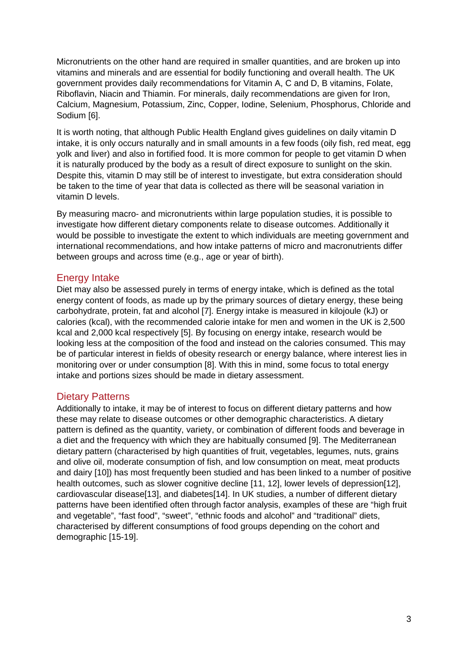Micronutrients on the other hand are required in smaller quantities, and are broken up into vitamins and minerals and are essential for bodily functioning and overall health. The UK government provides daily recommendations for Vitamin A, C and D, B vitamins, Folate, Riboflavin, Niacin and Thiamin. For minerals, daily recommendations are given for Iron, Calcium, Magnesium, Potassium, Zinc, Copper, Iodine, Selenium, Phosphorus, Chloride and Sodium [6].

It is worth noting, that although Public Health England gives guidelines on daily vitamin D intake, it is only occurs naturally and in small amounts in a few foods (oily fish, red meat, egg yolk and liver) and also in fortified food. It is more common for people to get vitamin D when it is naturally produced by the body as a result of direct exposure to sunlight on the skin. Despite this, vitamin D may still be of interest to investigate, but extra consideration should be taken to the time of year that data is collected as there will be seasonal variation in vitamin D levels.

By measuring macro- and micronutrients within large population studies, it is possible to investigate how different dietary components relate to disease outcomes. Additionally it would be possible to investigate the extent to which individuals are meeting government and international recommendations, and how intake patterns of micro and macronutrients differ between groups and across time (e.g., age or year of birth).

#### Energy Intake

Diet may also be assessed purely in terms of energy intake, which is defined as the total energy content of foods, as made up by the primary sources of dietary energy, these being carbohydrate, protein, fat and alcohol [7]. Energy intake is measured in kilojoule (kJ) or calories (kcal), with the recommended calorie intake for men and women in the UK is 2,500 kcal and 2,000 kcal respectively [5]. By focusing on energy intake, research would be looking less at the composition of the food and instead on the calories consumed. This may be of particular interest in fields of obesity research or energy balance, where interest lies in monitoring over or under consumption [8]. With this in mind, some focus to total energy intake and portions sizes should be made in dietary assessment.

#### Dietary Patterns

Additionally to intake, it may be of interest to focus on different dietary patterns and how these may relate to disease outcomes or other demographic characteristics. A dietary pattern is defined as the quantity, variety, or combination of different foods and beverage in a diet and the frequency with which they are habitually consumed [9]. The Mediterranean dietary pattern (characterised by high quantities of fruit, vegetables, legumes, nuts, grains and olive oil, moderate consumption of fish, and low consumption on meat, meat products and dairy [10]) has most frequently been studied and has been linked to a number of positive health outcomes, such as slower cognitive decline [11, 12], lower levels of depression[12], cardiovascular disease[13], and diabetes[14]. In UK studies, a number of different dietary patterns have been identified often through factor analysis, examples of these are "high fruit and vegetable", "fast food", "sweet", "ethnic foods and alcohol" and "traditional" diets, characterised by different consumptions of food groups depending on the cohort and demographic [15-19].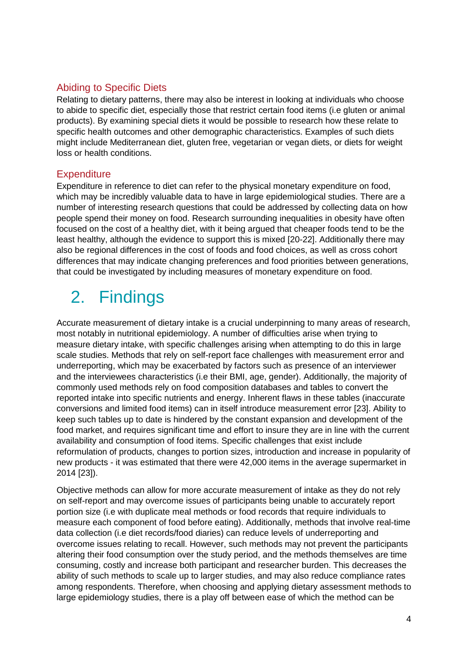#### Abiding to Specific Diets

Relating to dietary patterns, there may also be interest in looking at individuals who choose to abide to specific diet, especially those that restrict certain food items (i.e gluten or animal products). By examining special diets it would be possible to research how these relate to specific health outcomes and other demographic characteristics. Examples of such diets might include Mediterranean diet, gluten free, vegetarian or vegan diets, or diets for weight loss or health conditions.

#### **Expenditure**

Expenditure in reference to diet can refer to the physical monetary expenditure on food, which may be incredibly valuable data to have in large epidemiological studies. There are a number of interesting research questions that could be addressed by collecting data on how people spend their money on food. Research surrounding inequalities in obesity have often focused on the cost of a healthy diet, with it being argued that cheaper foods tend to be the least healthy, although the evidence to support this is mixed [20-22]. Additionally there may also be regional differences in the cost of foods and food choices, as well as cross cohort differences that may indicate changing preferences and food priorities between generations, that could be investigated by including measures of monetary expenditure on food.

# 2. Findings

Accurate measurement of dietary intake is a crucial underpinning to many areas of research, most notably in nutritional epidemiology. A number of difficulties arise when trying to measure dietary intake, with specific challenges arising when attempting to do this in large scale studies. Methods that rely on self-report face challenges with measurement error and underreporting, which may be exacerbated by factors such as presence of an interviewer and the interviewees characteristics (i.e their BMI, age, gender). Additionally, the majority of commonly used methods rely on food composition databases and tables to convert the reported intake into specific nutrients and energy. Inherent flaws in these tables (inaccurate conversions and limited food items) can in itself introduce measurement error [23]. Ability to keep such tables up to date is hindered by the constant expansion and development of the food market, and requires significant time and effort to insure they are in line with the current availability and consumption of food items. Specific challenges that exist include reformulation of products, changes to portion sizes, introduction and increase in popularity of new products - it was estimated that there were 42,000 items in the average supermarket in 2014 [23]).

Objective methods can allow for more accurate measurement of intake as they do not rely on self-report and may overcome issues of participants being unable to accurately report portion size (i.e with duplicate meal methods or food records that require individuals to measure each component of food before eating). Additionally, methods that involve real-time data collection (i.e diet records/food diaries) can reduce levels of underreporting and overcome issues relating to recall. However, such methods may not prevent the participants altering their food consumption over the study period, and the methods themselves are time consuming, costly and increase both participant and researcher burden. This decreases the ability of such methods to scale up to larger studies, and may also reduce compliance rates among respondents. Therefore, when choosing and applying dietary assessment methods to large epidemiology studies, there is a play off between ease of which the method can be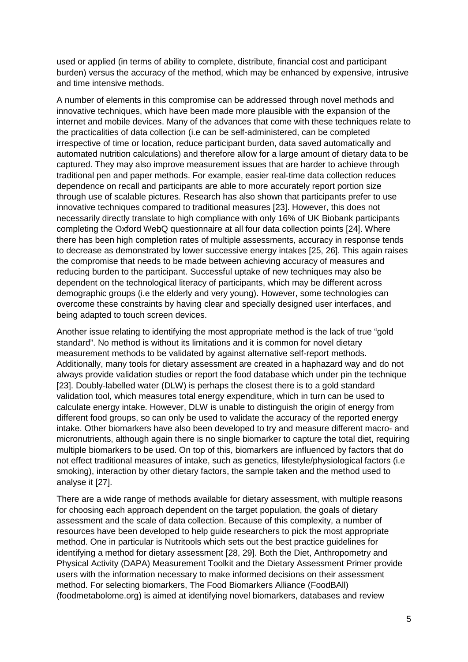used or applied (in terms of ability to complete, distribute, financial cost and participant burden) versus the accuracy of the method, which may be enhanced by expensive, intrusive and time intensive methods.

A number of elements in this compromise can be addressed through novel methods and innovative techniques, which have been made more plausible with the expansion of the internet and mobile devices. Many of the advances that come with these techniques relate to the practicalities of data collection (i.e can be self-administered, can be completed irrespective of time or location, reduce participant burden, data saved automatically and automated nutrition calculations) and therefore allow for a large amount of dietary data to be captured. They may also improve measurement issues that are harder to achieve through traditional pen and paper methods. For example, easier real-time data collection reduces dependence on recall and participants are able to more accurately report portion size through use of scalable pictures. Research has also shown that participants prefer to use innovative techniques compared to traditional measures [23]. However, this does not necessarily directly translate to high compliance with only 16% of UK Biobank participants completing the Oxford WebQ questionnaire at all four data collection points [24]. Where there has been high completion rates of multiple assessments, accuracy in response tends to decrease as demonstrated by lower successive energy intakes [25, 26]. This again raises the compromise that needs to be made between achieving accuracy of measures and reducing burden to the participant. Successful uptake of new techniques may also be dependent on the technological literacy of participants, which may be different across demographic groups (i.e the elderly and very young). However, some technologies can overcome these constraints by having clear and specially designed user interfaces, and being adapted to touch screen devices.

Another issue relating to identifying the most appropriate method is the lack of true "gold standard". No method is without its limitations and it is common for novel dietary measurement methods to be validated by against alternative self-report methods. Additionally, many tools for dietary assessment are created in a haphazard way and do not always provide validation studies or report the food database which under pin the technique [23]. Doubly-labelled water (DLW) is perhaps the closest there is to a gold standard validation tool, which measures total energy expenditure, which in turn can be used to calculate energy intake. However, DLW is unable to distinguish the origin of energy from different food groups, so can only be used to validate the accuracy of the reported energy intake. Other biomarkers have also been developed to try and measure different macro- and micronutrients, although again there is no single biomarker to capture the total diet, requiring multiple biomarkers to be used. On top of this, biomarkers are influenced by factors that do not effect traditional measures of intake, such as genetics, lifestyle/physiological factors (i.e smoking), interaction by other dietary factors, the sample taken and the method used to analyse it [27].

There are a wide range of methods available for dietary assessment, with multiple reasons for choosing each approach dependent on the target population, the goals of dietary assessment and the scale of data collection. Because of this complexity, a number of resources have been developed to help guide researchers to pick the most appropriate method. One in particular is Nutritools which sets out the best practice guidelines for identifying a method for dietary assessment [28, 29]. Both the Diet, Anthropometry and Physical Activity (DAPA) Measurement Toolkit and the Dietary Assessment Primer provide users with the information necessary to make informed decisions on their assessment method. For selecting biomarkers, The Food Biomarkers Alliance (FoodBAll) (foodmetabolome.org) is aimed at identifying novel biomarkers, databases and review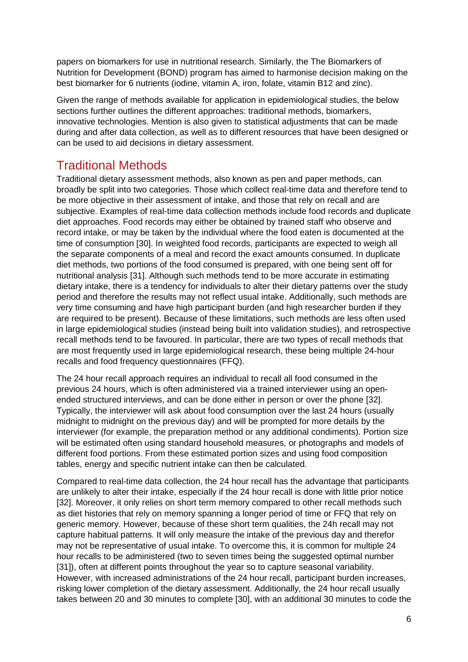papers on biomarkers for use in nutritional research. Similarly, the The Biomarkers of Nutrition for Development (BOND) program has aimed to harmonise decision making on the best biomarker for 6 nutrients (iodine, vitamin A, iron, folate, vitamin B12 and zinc).

Given the range of methods available for application in epidemiological studies, the below sections further outlines the different approaches: traditional methods, biomarkers, innovative technologies. Mention is also given to statistical adjustments that can be made during and after data collection, as well as to different resources that have been designed or can be used to aid decisions in dietary assessment.

## Traditional Methods

Traditional dietary assessment methods, also known as pen and paper methods, can broadly be split into two categories. Those which collect real-time data and therefore tend to be more objective in their assessment of intake, and those that rely on recall and are subjective. Examples of real-time data collection methods include food records and duplicate diet approaches. Food records may either be obtained by trained staff who observe and record intake, or may be taken by the individual where the food eaten is documented at the time of consumption [30]. In weighted food records, participants are expected to weigh all the separate components of a meal and record the exact amounts consumed. In duplicate diet methods, two portions of the food consumed is prepared, with one being sent off for nutritional analysis [31]. Although such methods tend to be more accurate in estimating dietary intake, there is a tendency for individuals to alter their dietary patterns over the study period and therefore the results may not reflect usual intake. Additionally, such methods are very time consuming and have high participant burden (and high researcher burden if they are required to be present). Because of these limitations, such methods are less often used in large epidemiological studies (instead being built into validation studies), and retrospective recall methods tend to be favoured. In particular, there are two types of recall methods that are most frequently used in large epidemiological research, these being multiple 24-hour recalls and food frequency questionnaires (FFQ).

The 24 hour recall approach requires an individual to recall all food consumed in the previous 24 hours, which is often administered via a trained interviewer using an openended structured interviews, and can be done either in person or over the phone [32]. Typically, the interviewer will ask about food consumption over the last 24 hours (usually midnight to midnight on the previous day) and will be prompted for more details by the interviewer (for example, the preparation method or any additional condiments). Portion size will be estimated often using standard household measures, or photographs and models of different food portions. From these estimated portion sizes and using food composition tables, energy and specific nutrient intake can then be calculated.

Compared to real-time data collection, the 24 hour recall has the advantage that participants are unlikely to alter their intake, especially if the 24 hour recall is done with little prior notice [32]. Moreover, it only relies on short term memory compared to other recall methods such as diet histories that rely on memory spanning a longer period of time or FFQ that rely on generic memory. However, because of these short term qualities, the 24h recall may not capture habitual patterns. It will only measure the intake of the previous day and therefor may not be representative of usual intake. To overcome this, it is common for multiple 24 hour recalls to be administered (two to seven times being the suggested optimal number [31]), often at different points throughout the year so to capture seasonal variability. However, with increased administrations of the 24 hour recall, participant burden increases, risking lower completion of the dietary assessment. Additionally, the 24 hour recall usually takes between 20 and 30 minutes to complete [30], with an additional 30 minutes to code the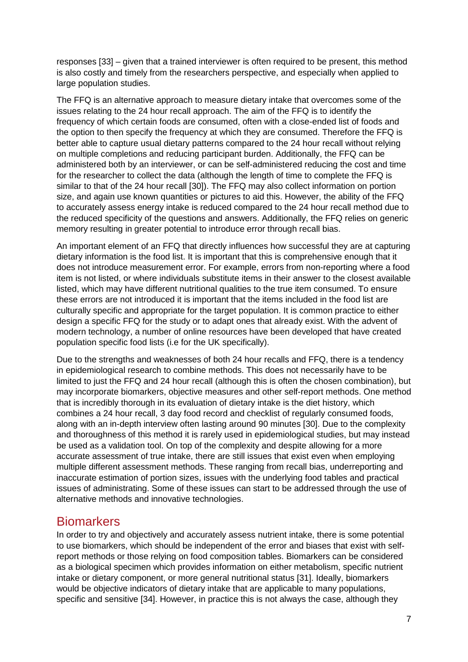responses [33] – given that a trained interviewer is often required to be present, this method is also costly and timely from the researchers perspective, and especially when applied to large population studies.

The FFQ is an alternative approach to measure dietary intake that overcomes some of the issues relating to the 24 hour recall approach. The aim of the FFQ is to identify the frequency of which certain foods are consumed, often with a close-ended list of foods and the option to then specify the frequency at which they are consumed. Therefore the FFQ is better able to capture usual dietary patterns compared to the 24 hour recall without relying on multiple completions and reducing participant burden. Additionally, the FFQ can be administered both by an interviewer, or can be self-administered reducing the cost and time for the researcher to collect the data (although the length of time to complete the FFQ is similar to that of the 24 hour recall [30]). The FFQ may also collect information on portion size, and again use known quantities or pictures to aid this. However, the ability of the FFQ to accurately assess energy intake is reduced compared to the 24 hour recall method due to the reduced specificity of the questions and answers. Additionally, the FFQ relies on generic memory resulting in greater potential to introduce error through recall bias.

An important element of an FFQ that directly influences how successful they are at capturing dietary information is the food list. It is important that this is comprehensive enough that it does not introduce measurement error. For example, errors from non-reporting where a food item is not listed, or where individuals substitute items in their answer to the closest available listed, which may have different nutritional qualities to the true item consumed. To ensure these errors are not introduced it is important that the items included in the food list are culturally specific and appropriate for the target population. It is common practice to either design a specific FFQ for the study or to adapt ones that already exist. With the advent of modern technology, a number of online resources have been developed that have created population specific food lists (i.e for the UK specifically).

Due to the strengths and weaknesses of both 24 hour recalls and FFQ, there is a tendency in epidemiological research to combine methods. This does not necessarily have to be limited to just the FFQ and 24 hour recall (although this is often the chosen combination), but may incorporate biomarkers, objective measures and other self-report methods. One method that is incredibly thorough in its evaluation of dietary intake is the diet history, which combines a 24 hour recall, 3 day food record and checklist of regularly consumed foods, along with an in-depth interview often lasting around 90 minutes [30]. Due to the complexity and thoroughness of this method it is rarely used in epidemiological studies, but may instead be used as a validation tool. On top of the complexity and despite allowing for a more accurate assessment of true intake, there are still issues that exist even when employing multiple different assessment methods. These ranging from recall bias, underreporting and inaccurate estimation of portion sizes, issues with the underlying food tables and practical issues of administrating. Some of these issues can start to be addressed through the use of alternative methods and innovative technologies.

#### **Biomarkers**

In order to try and objectively and accurately assess nutrient intake, there is some potential to use biomarkers, which should be independent of the error and biases that exist with selfreport methods or those relying on food composition tables. Biomarkers can be considered as a biological specimen which provides information on either metabolism, specific nutrient intake or dietary component, or more general nutritional status [31]. Ideally, biomarkers would be objective indicators of dietary intake that are applicable to many populations, specific and sensitive [34]. However, in practice this is not always the case, although they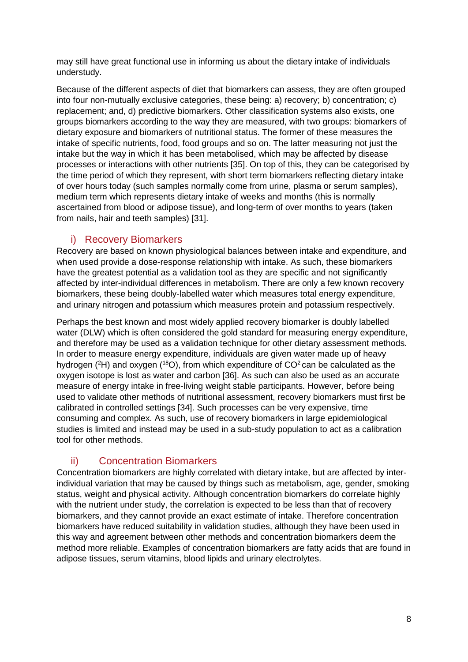may still have great functional use in informing us about the dietary intake of individuals understudy.

Because of the different aspects of diet that biomarkers can assess, they are often grouped into four non-mutually exclusive categories, these being: a) recovery; b) concentration; c) replacement; and, d) predictive biomarkers. Other classification systems also exists, one groups biomarkers according to the way they are measured, with two groups: biomarkers of dietary exposure and biomarkers of nutritional status. The former of these measures the intake of specific nutrients, food, food groups and so on. The latter measuring not just the intake but the way in which it has been metabolised, which may be affected by disease processes or interactions with other nutrients [35]. On top of this, they can be categorised by the time period of which they represent, with short term biomarkers reflecting dietary intake of over hours today (such samples normally come from urine, plasma or serum samples), medium term which represents dietary intake of weeks and months (this is normally ascertained from blood or adipose tissue), and long-term of over months to years (taken from nails, hair and teeth samples) [31].

#### i) Recovery Biomarkers

Recovery are based on known physiological balances between intake and expenditure, and when used provide a dose-response relationship with intake. As such, these biomarkers have the greatest potential as a validation tool as they are specific and not significantly affected by inter-individual differences in metabolism. There are only a few known recovery biomarkers, these being doubly-labelled water which measures total energy expenditure, and urinary nitrogen and potassium which measures protein and potassium respectively.

Perhaps the best known and most widely applied recovery biomarker is doubly labelled water (DLW) which is often considered the gold standard for measuring energy expenditure, and therefore may be used as a validation technique for other dietary assessment methods. In order to measure energy expenditure, individuals are given water made up of heavy hydrogen ( ${}^{2}$ H) and oxygen ( ${}^{18}$ O), from which expenditure of CO ${}^{2}$  can be calculated as the oxygen isotope is lost as water and carbon [36]. As such can also be used as an accurate measure of energy intake in free-living weight stable participants. However, before being used to validate other methods of nutritional assessment, recovery biomarkers must first be calibrated in controlled settings [34]. Such processes can be very expensive, time consuming and complex. As such, use of recovery biomarkers in large epidemiological studies is limited and instead may be used in a sub-study population to act as a calibration tool for other methods.

#### ii) Concentration Biomarkers

Concentration biomarkers are highly correlated with dietary intake, but are affected by interindividual variation that may be caused by things such as metabolism, age, gender, smoking status, weight and physical activity. Although concentration biomarkers do correlate highly with the nutrient under study, the correlation is expected to be less than that of recovery biomarkers, and they cannot provide an exact estimate of intake. Therefore concentration biomarkers have reduced suitability in validation studies, although they have been used in this way and agreement between other methods and concentration biomarkers deem the method more reliable. Examples of concentration biomarkers are fatty acids that are found in adipose tissues, serum vitamins, blood lipids and urinary electrolytes.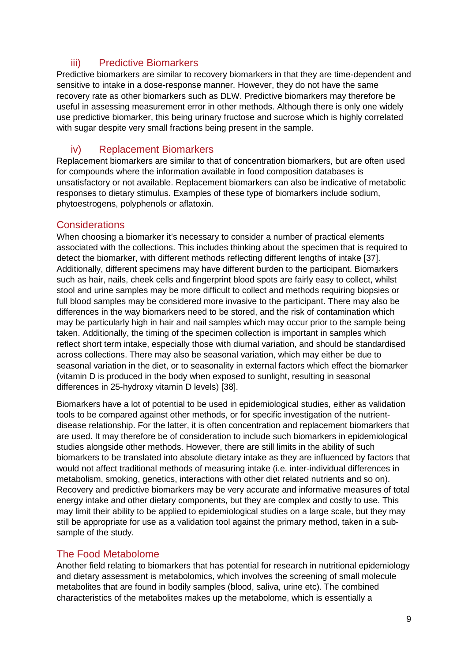#### iii) Predictive Biomarkers

Predictive biomarkers are similar to recovery biomarkers in that they are time-dependent and sensitive to intake in a dose-response manner. However, they do not have the same recovery rate as other biomarkers such as DLW. Predictive biomarkers may therefore be useful in assessing measurement error in other methods. Although there is only one widely use predictive biomarker, this being urinary fructose and sucrose which is highly correlated with sugar despite very small fractions being present in the sample.

#### iv) Replacement Biomarkers

Replacement biomarkers are similar to that of concentration biomarkers, but are often used for compounds where the information available in food composition databases is unsatisfactory or not available. Replacement biomarkers can also be indicative of metabolic responses to dietary stimulus. Examples of these type of biomarkers include sodium, phytoestrogens, polyphenols or aflatoxin.

#### **Considerations**

When choosing a biomarker it's necessary to consider a number of practical elements associated with the collections. This includes thinking about the specimen that is required to detect the biomarker, with different methods reflecting different lengths of intake [37]. Additionally, different specimens may have different burden to the participant. Biomarkers such as hair, nails, cheek cells and fingerprint blood spots are fairly easy to collect, whilst stool and urine samples may be more difficult to collect and methods requiring biopsies or full blood samples may be considered more invasive to the participant. There may also be differences in the way biomarkers need to be stored, and the risk of contamination which may be particularly high in hair and nail samples which may occur prior to the sample being taken. Additionally, the timing of the specimen collection is important in samples which reflect short term intake, especially those with diurnal variation, and should be standardised across collections. There may also be seasonal variation, which may either be due to seasonal variation in the diet, or to seasonality in external factors which effect the biomarker (vitamin D is produced in the body when exposed to sunlight, resulting in seasonal differences in 25-hydroxy vitamin D levels) [38].

Biomarkers have a lot of potential to be used in epidemiological studies, either as validation tools to be compared against other methods, or for specific investigation of the nutrientdisease relationship. For the latter, it is often concentration and replacement biomarkers that are used. It may therefore be of consideration to include such biomarkers in epidemiological studies alongside other methods. However, there are still limits in the ability of such biomarkers to be translated into absolute dietary intake as they are influenced by factors that would not affect traditional methods of measuring intake (i.e. inter-individual differences in metabolism, smoking, genetics, interactions with other diet related nutrients and so on). Recovery and predictive biomarkers may be very accurate and informative measures of total energy intake and other dietary components, but they are complex and costly to use. This may limit their ability to be applied to epidemiological studies on a large scale, but they may still be appropriate for use as a validation tool against the primary method, taken in a subsample of the study.

#### The Food Metabolome

Another field relating to biomarkers that has potential for research in nutritional epidemiology and dietary assessment is metabolomics, which involves the screening of small molecule metabolites that are found in bodily samples (blood, saliva, urine etc). The combined characteristics of the metabolites makes up the metabolome, which is essentially a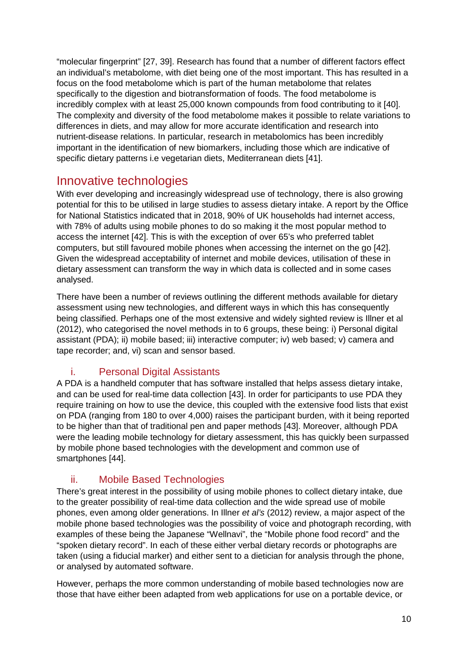"molecular fingerprint" [27, 39]. Research has found that a number of different factors effect an individual's metabolome, with diet being one of the most important. This has resulted in a focus on the food metabolome which is part of the human metabolome that relates specifically to the digestion and biotransformation of foods. The food metabolome is incredibly complex with at least 25,000 known compounds from food contributing to it [40]. The complexity and diversity of the food metabolome makes it possible to relate variations to differences in diets, and may allow for more accurate identification and research into nutrient-disease relations. In particular, research in metabolomics has been incredibly important in the identification of new biomarkers, including those which are indicative of specific dietary patterns i.e vegetarian diets, Mediterranean diets [41].

### Innovative technologies

With ever developing and increasingly widespread use of technology, there is also growing potential for this to be utilised in large studies to assess dietary intake. A report by the Office for National Statistics indicated that in 2018, 90% of UK households had internet access, with 78% of adults using mobile phones to do so making it the most popular method to access the internet [42]. This is with the exception of over 65's who preferred tablet computers, but still favoured mobile phones when accessing the internet on the go [42]. Given the widespread acceptability of internet and mobile devices, utilisation of these in dietary assessment can transform the way in which data is collected and in some cases analysed.

There have been a number of reviews outlining the different methods available for dietary assessment using new technologies, and different ways in which this has consequently being classified. Perhaps one of the most extensive and widely sighted review is Illner et al (2012), who categorised the novel methods in to 6 groups, these being: i) Personal digital assistant (PDA); ii) mobile based; iii) interactive computer; iv) web based; v) camera and tape recorder; and, vi) scan and sensor based.

#### i. Personal Digital Assistants

A PDA is a handheld computer that has software installed that helps assess dietary intake, and can be used for real-time data collection [43]. In order for participants to use PDA they require training on how to use the device, this coupled with the extensive food lists that exist on PDA (ranging from 180 to over 4,000) raises the participant burden, with it being reported to be higher than that of traditional pen and paper methods [43]. Moreover, although PDA were the leading mobile technology for dietary assessment, this has quickly been surpassed by mobile phone based technologies with the development and common use of smartphones [44].

#### ii. Mobile Based Technologies

There's great interest in the possibility of using mobile phones to collect dietary intake, due to the greater possibility of real-time data collection and the wide spread use of mobile phones, even among older generations. In Illner *et al's* (2012) review, a major aspect of the mobile phone based technologies was the possibility of voice and photograph recording, with examples of these being the Japanese "Wellnavi", the "Mobile phone food record" and the "spoken dietary record". In each of these either verbal dietary records or photographs are taken (using a fiducial marker) and either sent to a dietician for analysis through the phone, or analysed by automated software.

However, perhaps the more common understanding of mobile based technologies now are those that have either been adapted from web applications for use on a portable device, or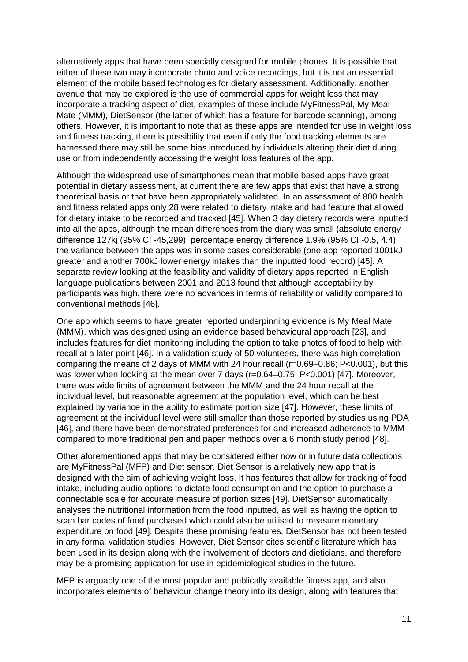alternatively apps that have been specially designed for mobile phones. It is possible that either of these two may incorporate photo and voice recordings, but it is not an essential element of the mobile based technologies for dietary assessment. Additionally, another avenue that may be explored is the use of commercial apps for weight loss that may incorporate a tracking aspect of diet, examples of these include MyFitnessPal, My Meal Mate (MMM), DietSensor (the latter of which has a feature for barcode scanning), among others. However, it is important to note that as these apps are intended for use in weight loss and fitness tracking, there is possibility that even if only the food tracking elements are harnessed there may still be some bias introduced by individuals altering their diet during use or from independently accessing the weight loss features of the app.

Although the widespread use of smartphones mean that mobile based apps have great potential in dietary assessment, at current there are few apps that exist that have a strong theoretical basis or that have been appropriately validated. In an assessment of 800 health and fitness related apps only 28 were related to dietary intake and had feature that allowed for dietary intake to be recorded and tracked [45]. When 3 day dietary records were inputted into all the apps, although the mean differences from the diary was small (absolute energy difference 127kj (95% CI -45,299), percentage energy difference 1.9% (95% CI -0.5, 4.4), the variance between the apps was in some cases considerable (one app reported 1001kJ greater and another 700kJ lower energy intakes than the inputted food record) [45]. A separate review looking at the feasibility and validity of dietary apps reported in English language publications between 2001 and 2013 found that although acceptability by participants was high, there were no advances in terms of reliability or validity compared to conventional methods [46].

One app which seems to have greater reported underpinning evidence is My Meal Mate (MMM), which was designed using an evidence based behavioural approach [23], and includes features for diet monitoring including the option to take photos of food to help with recall at a later point [46]. In a validation study of 50 volunteers, there was high correlation comparing the means of 2 days of MMM with 24 hour recall (r=0.69–0.86; P<0.001), but this was lower when looking at the mean over 7 days (r=0.64–0.75; P<0.001) [47]. Moreover, there was wide limits of agreement between the MMM and the 24 hour recall at the individual level, but reasonable agreement at the population level, which can be best explained by variance in the ability to estimate portion size [47]. However, these limits of agreement at the individual level were still smaller than those reported by studies using PDA [46], and there have been demonstrated preferences for and increased adherence to MMM compared to more traditional pen and paper methods over a 6 month study period [48].

Other aforementioned apps that may be considered either now or in future data collections are MyFitnessPal (MFP) and Diet sensor. Diet Sensor is a relatively new app that is designed with the aim of achieving weight loss. It has features that allow for tracking of food intake, including audio options to dictate food consumption and the option to purchase a connectable scale for accurate measure of portion sizes [49]. DietSensor automatically analyses the nutritional information from the food inputted, as well as having the option to scan bar codes of food purchased which could also be utilised to measure monetary expenditure on food [49]. Despite these promising features, DietSensor has not been tested in any formal validation studies. However, Diet Sensor cites scientific literature which has been used in its design along with the involvement of doctors and dieticians, and therefore may be a promising application for use in epidemiological studies in the future.

MFP is arguably one of the most popular and publically available fitness app, and also incorporates elements of behaviour change theory into its design, along with features that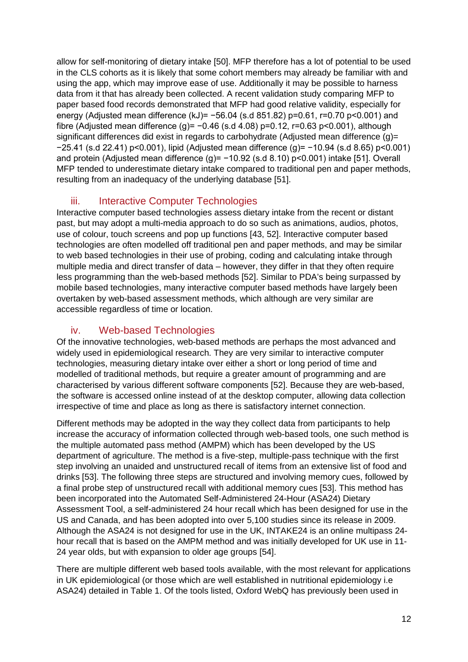allow for self-monitoring of dietary intake [50]. MFP therefore has a lot of potential to be used in the CLS cohorts as it is likely that some cohort members may already be familiar with and using the app, which may improve ease of use. Additionally it may be possible to harness data from it that has already been collected. A recent validation study comparing MFP to paper based food records demonstrated that MFP had good relative validity, especially for energy (Adjusted mean difference (kJ)= -56.04 (s.d 851.82) p=0.61, r=0.70 p<0.001) and fibre (Adjusted mean difference (g)=  $-0.46$  (s.d 4.08) p=0.12, r=0.63 p<0.001), although significant differences did exist in regards to carbohydrate (Adjusted mean difference (g)= −25.41 (s.d 22.41) p<0.001), lipid (Adjusted mean difference (g)= −10.94 (s.d 8.65) p<0.001) and protein (Adjusted mean difference (g)= -10.92 (s.d 8.10) p<0.001) intake [51]. Overall MFP tended to underestimate dietary intake compared to traditional pen and paper methods, resulting from an inadequacy of the underlying database [51].

#### iii. Interactive Computer Technologies

Interactive computer based technologies assess dietary intake from the recent or distant past, but may adopt a multi-media approach to do so such as animations, audios, photos, use of colour, touch screens and pop up functions [43, 52]. Interactive computer based technologies are often modelled off traditional pen and paper methods, and may be similar to web based technologies in their use of probing, coding and calculating intake through multiple media and direct transfer of data – however, they differ in that they often require less programming than the web-based methods [52]. Similar to PDA's being surpassed by mobile based technologies, many interactive computer based methods have largely been overtaken by web-based assessment methods, which although are very similar are accessible regardless of time or location.

#### iv. Web-based Technologies

Of the innovative technologies, web-based methods are perhaps the most advanced and widely used in epidemiological research. They are very similar to interactive computer technologies, measuring dietary intake over either a short or long period of time and modelled of traditional methods, but require a greater amount of programming and are characterised by various different software components [52]. Because they are web-based, the software is accessed online instead of at the desktop computer, allowing data collection irrespective of time and place as long as there is satisfactory internet connection.

Different methods may be adopted in the way they collect data from participants to help increase the accuracy of information collected through web-based tools, one such method is the multiple automated pass method (AMPM) which has been developed by the US department of agriculture. The method is a five-step, multiple-pass technique with the first step involving an unaided and unstructured recall of items from an extensive list of food and drinks [53]. The following three steps are structured and involving memory cues, followed by a final probe step of unstructured recall with additional memory cues [53]. This method has been incorporated into the Automated Self-Administered 24-Hour (ASA24) Dietary Assessment Tool, a self-administered 24 hour recall which has been designed for use in the US and Canada, and has been adopted into over 5,100 studies since its release in 2009. Although the ASA24 is not designed for use in the UK, INTAKE24 is an online multipass 24 hour recall that is based on the AMPM method and was initially developed for UK use in 11- 24 year olds, but with expansion to older age groups [54].

There are multiple different web based tools available, with the most relevant for applications in UK epidemiological (or those which are well established in nutritional epidemiology i.e ASA24) detailed in Table 1. Of the tools listed, Oxford WebQ has previously been used in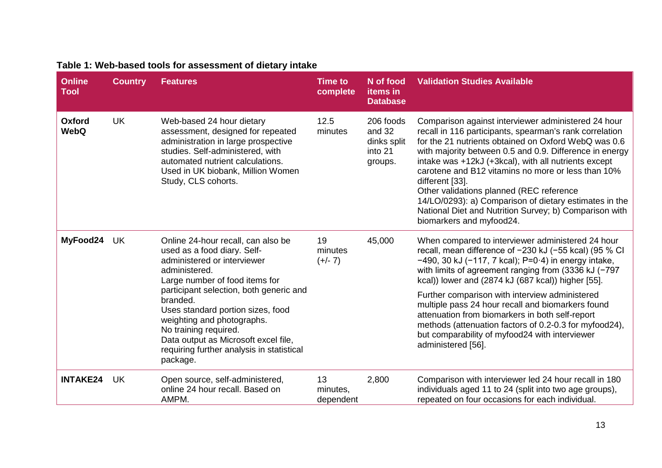| <b>Online</b><br><b>Tool</b> | <b>Country</b> | <b>Features</b>                                                                                                                                                                                                                                                                                                                                                                                         | Time to<br>complete         | N of food<br>items in<br><b>Database</b>                 | <b>Validation Studies Available</b>                                                                                                                                                                                                                                                                                                                                                                                                                                                                                                                            |
|------------------------------|----------------|---------------------------------------------------------------------------------------------------------------------------------------------------------------------------------------------------------------------------------------------------------------------------------------------------------------------------------------------------------------------------------------------------------|-----------------------------|----------------------------------------------------------|----------------------------------------------------------------------------------------------------------------------------------------------------------------------------------------------------------------------------------------------------------------------------------------------------------------------------------------------------------------------------------------------------------------------------------------------------------------------------------------------------------------------------------------------------------------|
| Oxford<br><b>WebQ</b>        | <b>UK</b>      | Web-based 24 hour dietary<br>assessment, designed for repeated<br>administration in large prospective<br>studies. Self-administered, with<br>automated nutrient calculations.<br>Used in UK biobank, Million Women<br>Study, CLS cohorts.                                                                                                                                                               | 12.5<br>minutes             | 206 foods<br>and 32<br>dinks split<br>into 21<br>groups. | Comparison against interviewer administered 24 hour<br>recall in 116 participants, spearman's rank correlation<br>for the 21 nutrients obtained on Oxford WebQ was 0.6<br>with majority between 0.5 and 0.9. Difference in energy<br>intake was +12kJ (+3kcal), with all nutrients except<br>carotene and B12 vitamins no more or less than 10%<br>different [33].<br>Other validations planned (REC reference<br>14/LO/0293): a) Comparison of dietary estimates in the<br>National Diet and Nutrition Survey; b) Comparison with<br>biomarkers and myfood24. |
| MyFood24                     | UK             | Online 24-hour recall, can also be<br>used as a food diary. Self-<br>administered or interviewer<br>administered.<br>Large number of food items for<br>participant selection, both generic and<br>branded.<br>Uses standard portion sizes, food<br>weighting and photographs.<br>No training required.<br>Data output as Microsoft excel file,<br>requiring further analysis in statistical<br>package. | 19<br>minutes<br>$(+/- 7)$  | 45,000                                                   | When compared to interviewer administered 24 hour<br>recall, mean difference of -230 kJ (-55 kcal) (95 % CI<br>$-490$ , 30 kJ ( $-117$ , 7 kcal); P=0 $\cdot$ 4) in energy intake,<br>with limits of agreement ranging from $(3336 \text{ kJ} (-797$<br>kcal)) lower and (2874 kJ (687 kcal)) higher [55].                                                                                                                                                                                                                                                     |
|                              |                |                                                                                                                                                                                                                                                                                                                                                                                                         |                             |                                                          | Further comparison with interview administered<br>multiple pass 24 hour recall and biomarkers found<br>attenuation from biomarkers in both self-report<br>methods (attenuation factors of 0.2-0.3 for myfood24),<br>but comparability of myfood24 with interviewer<br>administered [56].                                                                                                                                                                                                                                                                       |
| <b>INTAKE24</b>              | <b>UK</b>      | Open source, self-administered,<br>online 24 hour recall. Based on<br>AMPM.                                                                                                                                                                                                                                                                                                                             | 13<br>minutes,<br>dependent | 2,800                                                    | Comparison with interviewer led 24 hour recall in 180<br>individuals aged 11 to 24 (split into two age groups),<br>repeated on four occasions for each individual.                                                                                                                                                                                                                                                                                                                                                                                             |

## **Table 1: Web-based tools for assessment of dietary intake**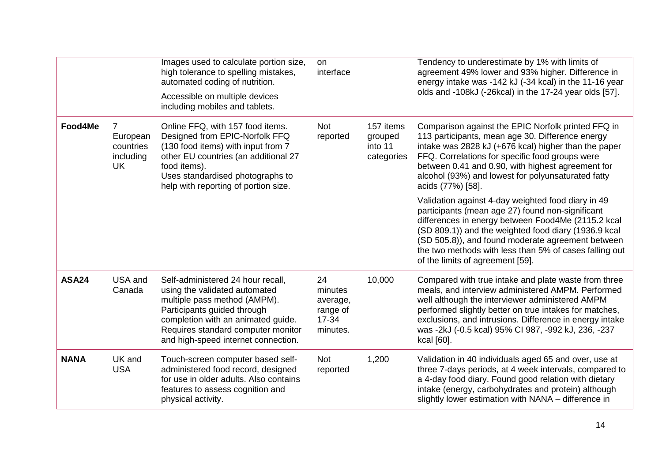|              |                                                      | Images used to calculate portion size,<br>high tolerance to spelling mistakes,<br>automated coding of nutrition.<br>Accessible on multiple devices<br>including mobiles and tablets.                                                                 | on<br>interface                                                |                                               | Tendency to underestimate by 1% with limits of<br>agreement 49% lower and 93% higher. Difference in<br>energy intake was -142 kJ (-34 kcal) in the 11-16 year<br>olds and -108kJ (-26kcal) in the 17-24 year olds [57].                                                                                                                                                 |
|--------------|------------------------------------------------------|------------------------------------------------------------------------------------------------------------------------------------------------------------------------------------------------------------------------------------------------------|----------------------------------------------------------------|-----------------------------------------------|-------------------------------------------------------------------------------------------------------------------------------------------------------------------------------------------------------------------------------------------------------------------------------------------------------------------------------------------------------------------------|
| Food4Me      | 7<br>European<br>countries<br>including<br><b>UK</b> | Online FFQ, with 157 food items.<br>Designed from EPIC-Norfolk FFQ<br>(130 food items) with input from 7<br>other EU countries (an additional 27<br>food items).<br>Uses standardised photographs to<br>help with reporting of portion size.         | <b>Not</b><br>reported                                         | 157 items<br>grouped<br>into 11<br>categories | Comparison against the EPIC Norfolk printed FFQ in<br>113 participants, mean age 30. Difference energy<br>intake was 2828 kJ (+676 kcal) higher than the paper<br>FFQ. Correlations for specific food groups were<br>between 0.41 and 0.90, with highest agreement for<br>alcohol (93%) and lowest for polyunsaturated fatty<br>acids (77%) [58].                       |
|              |                                                      |                                                                                                                                                                                                                                                      |                                                                |                                               | Validation against 4-day weighted food diary in 49<br>participants (mean age 27) found non-significant<br>differences in energy between Food4Me (2115.2 kcal<br>(SD 809.1)) and the weighted food diary (1936.9 kcal<br>(SD 505.8)), and found moderate agreement between<br>the two methods with less than 5% of cases falling out<br>of the limits of agreement [59]. |
| <b>ASA24</b> | USA and<br>Canada                                    | Self-administered 24 hour recall,<br>using the validated automated<br>multiple pass method (AMPM).<br>Participants guided through<br>completion with an animated guide.<br>Requires standard computer monitor<br>and high-speed internet connection. | 24<br>minutes<br>average,<br>range of<br>$17 - 34$<br>minutes. | 10,000                                        | Compared with true intake and plate waste from three<br>meals, and interview administered AMPM. Performed<br>well although the interviewer administered AMPM<br>performed slightly better on true intakes for matches,<br>exclusions, and intrusions. Difference in energy intake<br>was -2kJ (-0.5 kcal) 95% CI 987, -992 kJ, 236, -237<br>kcal [60].                  |
| <b>NANA</b>  | UK and<br><b>USA</b>                                 | Touch-screen computer based self-<br>administered food record, designed<br>for use in older adults. Also contains<br>features to assess cognition and<br>physical activity.                                                                          | <b>Not</b><br>reported                                         | 1,200                                         | Validation in 40 individuals aged 65 and over, use at<br>three 7-days periods, at 4 week intervals, compared to<br>a 4-day food diary. Found good relation with dietary<br>intake (energy, carbohydrates and protein) although<br>slightly lower estimation with NANA – difference in                                                                                   |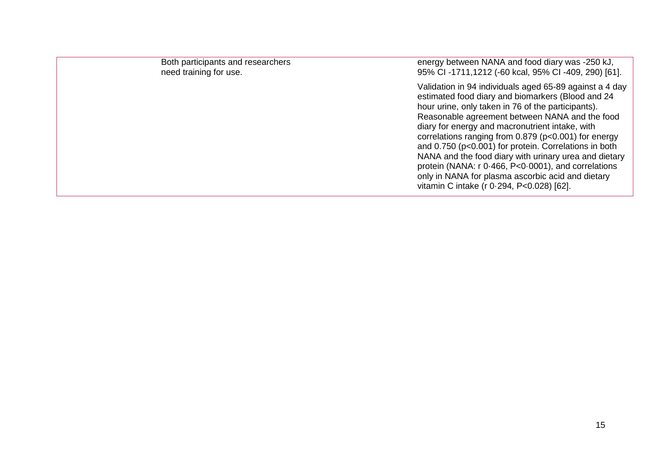| Both participants and researchers<br>need training for use. | energy between NANA and food diary was -250 kJ,<br>95% CI-1711,1212 (-60 kcal, 95% CI-409, 290) [61].                                                                                                                                                                                                                                                                                                                                                                                                                                                                                                      |
|-------------------------------------------------------------|------------------------------------------------------------------------------------------------------------------------------------------------------------------------------------------------------------------------------------------------------------------------------------------------------------------------------------------------------------------------------------------------------------------------------------------------------------------------------------------------------------------------------------------------------------------------------------------------------------|
|                                                             | Validation in 94 individuals aged 65-89 against a 4 day<br>estimated food diary and biomarkers (Blood and 24<br>hour urine, only taken in 76 of the participants).<br>Reasonable agreement between NANA and the food<br>diary for energy and macronutrient intake, with<br>correlations ranging from 0.879 (p<0.001) for energy<br>and 0.750 (p<0.001) for protein. Correlations in both<br>NANA and the food diary with urinary urea and dietary<br>protein (NANA: r 0.466, P<0.0001), and correlations<br>only in NANA for plasma ascorbic acid and dietary<br>vitamin C intake (r 0.294, P<0.028) [62]. |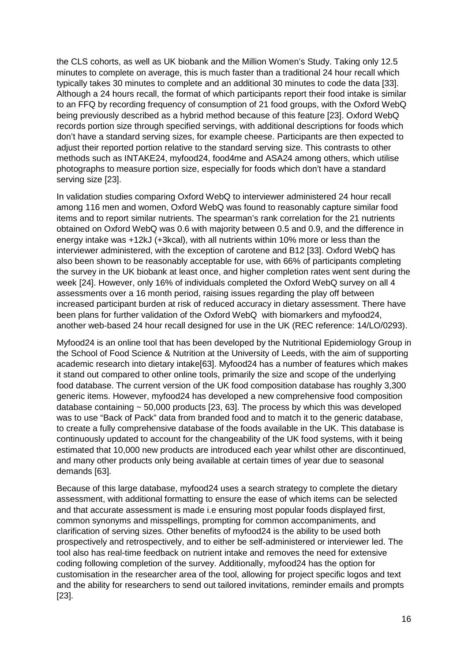the CLS cohorts, as well as UK biobank and the Million Women's Study. Taking only 12.5 minutes to complete on average, this is much faster than a traditional 24 hour recall which typically takes 30 minutes to complete and an additional 30 minutes to code the data [33]. Although a 24 hours recall, the format of which participants report their food intake is similar to an FFQ by recording frequency of consumption of 21 food groups, with the Oxford WebQ being previously described as a hybrid method because of this feature [23]. Oxford WebQ records portion size through specified servings, with additional descriptions for foods which don't have a standard serving sizes, for example cheese. Participants are then expected to adjust their reported portion relative to the standard serving size. This contrasts to other methods such as INTAKE24, myfood24, food4me and ASA24 among others, which utilise photographs to measure portion size, especially for foods which don't have a standard serving size [23].

In validation studies comparing Oxford WebQ to interviewer administered 24 hour recall among 116 men and women, Oxford WebQ was found to reasonably capture similar food items and to report similar nutrients. The spearman's rank correlation for the 21 nutrients obtained on Oxford WebQ was 0.6 with majority between 0.5 and 0.9, and the difference in energy intake was +12kJ (+3kcal), with all nutrients within 10% more or less than the interviewer administered, with the exception of carotene and B12 [33]. Oxford WebQ has also been shown to be reasonably acceptable for use, with 66% of participants completing the survey in the UK biobank at least once, and higher completion rates went sent during the week [24]. However, only 16% of individuals completed the Oxford WebQ survey on all 4 assessments over a 16 month period, raising issues regarding the play off between increased participant burden at risk of reduced accuracy in dietary assessment. There have been plans for further validation of the Oxford WebQ with biomarkers and myfood24, another web-based 24 hour recall designed for use in the UK (REC reference: 14/LO/0293).

Myfood24 is an online tool that has been developed by the Nutritional Epidemiology Group in the School of Food Science & Nutrition at the University of Leeds, with the aim of supporting academic research into dietary intake[63]. Myfood24 has a number of features which makes it stand out compared to other online tools, primarily the size and scope of the underlying food database. The current version of the UK food composition database has roughly 3,300 generic items. However, myfood24 has developed a new comprehensive food composition database containing  $\sim$  50,000 products [23, 63]. The process by which this was developed was to use "Back of Pack" data from branded food and to match it to the generic database, to create a fully comprehensive database of the foods available in the UK. This database is continuously updated to account for the changeability of the UK food systems, with it being estimated that 10,000 new products are introduced each year whilst other are discontinued, and many other products only being available at certain times of year due to seasonal demands [63].

Because of this large database, myfood24 uses a search strategy to complete the dietary assessment, with additional formatting to ensure the ease of which items can be selected and that accurate assessment is made i.e ensuring most popular foods displayed first, common synonyms and misspellings, prompting for common accompaniments, and clarification of serving sizes. Other benefits of myfood24 is the ability to be used both prospectively and retrospectively, and to either be self-administered or interviewer led. The tool also has real-time feedback on nutrient intake and removes the need for extensive coding following completion of the survey. Additionally, myfood24 has the option for customisation in the researcher area of the tool, allowing for project specific logos and text and the ability for researchers to send out tailored invitations, reminder emails and prompts [23].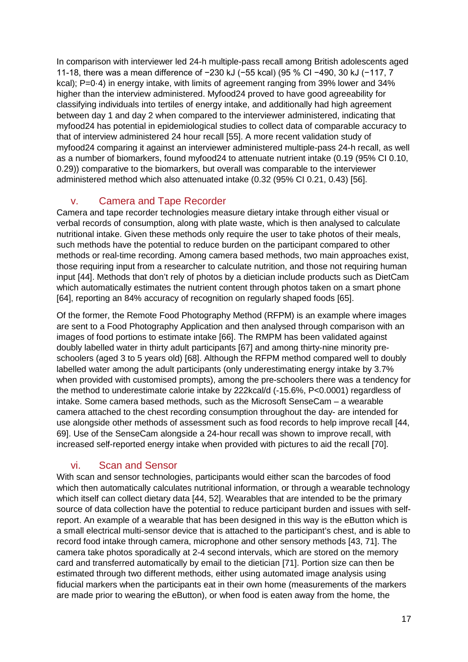In comparison with interviewer led 24-h multiple-pass recall among British adolescents aged 11-18, there was a mean difference of −230 kJ (−55 kcal) (95 % CI −490, 30 kJ (−117, 7 kcal); P=0·4) in energy intake, with limits of agreement ranging from 39% lower and 34% higher than the interview administered. Myfood24 proved to have good agreeability for classifying individuals into tertiles of energy intake, and additionally had high agreement between day 1 and day 2 when compared to the interviewer administered, indicating that myfood24 has potential in epidemiological studies to collect data of comparable accuracy to that of interview administered 24 hour recall [55]. A more recent validation study of myfood24 comparing it against an interviewer administered multiple-pass 24-h recall, as well as a number of biomarkers, found myfood24 to attenuate nutrient intake (0.19 (95% CI 0.10, 0.29)) comparative to the biomarkers, but overall was comparable to the interviewer administered method which also attenuated intake (0.32 (95% CI 0.21, 0.43) [56].

#### v. Camera and Tape Recorder

Camera and tape recorder technologies measure dietary intake through either visual or verbal records of consumption, along with plate waste, which is then analysed to calculate nutritional intake. Given these methods only require the user to take photos of their meals, such methods have the potential to reduce burden on the participant compared to other methods or real-time recording. Among camera based methods, two main approaches exist, those requiring input from a researcher to calculate nutrition, and those not requiring human input [44]. Methods that don't rely of photos by a dietician include products such as DietCam which automatically estimates the nutrient content through photos taken on a smart phone [64], reporting an 84% accuracy of recognition on regularly shaped foods [65].

Of the former, the Remote Food Photography Method (RFPM) is an example where images are sent to a Food Photography Application and then analysed through comparison with an images of food portions to estimate intake [66]. The RMPM has been validated against doubly labelled water in thirty adult participants [67] and among thirty-nine minority preschoolers (aged 3 to 5 years old) [68]. Although the RFPM method compared well to doubly labelled water among the adult participants (only underestimating energy intake by 3.7% when provided with customised prompts), among the pre-schoolers there was a tendency for the method to underestimate calorie intake by 222kcal/d (-15.6%, P<0.0001) regardless of intake. Some camera based methods, such as the Microsoft SenseCam – a wearable camera attached to the chest recording consumption throughout the day- are intended for use alongside other methods of assessment such as food records to help improve recall [44, 69]. Use of the SenseCam alongside a 24-hour recall was shown to improve recall, with increased self-reported energy intake when provided with pictures to aid the recall [70].

#### vi. Scan and Sensor

With scan and sensor technologies, participants would either scan the barcodes of food which then automatically calculates nutritional information, or through a wearable technology which itself can collect dietary data [44, 52]. Wearables that are intended to be the primary source of data collection have the potential to reduce participant burden and issues with selfreport. An example of a wearable that has been designed in this way is the eButton which is a small electrical multi-sensor device that is attached to the participant's chest, and is able to record food intake through camera, microphone and other sensory methods [43, 71]. The camera take photos sporadically at 2-4 second intervals, which are stored on the memory card and transferred automatically by email to the dietician [71]. Portion size can then be estimated through two different methods, either using automated image analysis using fiducial markers when the participants eat in their own home (measurements of the markers are made prior to wearing the eButton), or when food is eaten away from the home, the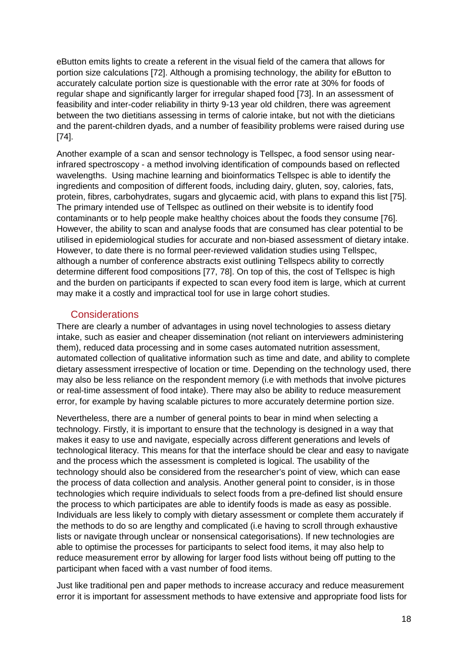eButton emits lights to create a referent in the visual field of the camera that allows for portion size calculations [72]. Although a promising technology, the ability for eButton to accurately calculate portion size is questionable with the error rate at 30% for foods of regular shape and significantly larger for irregular shaped food [73]. In an assessment of feasibility and inter-coder reliability in thirty 9-13 year old children, there was agreement between the two dietitians assessing in terms of calorie intake, but not with the dieticians and the parent-children dyads, and a number of feasibility problems were raised during use [74].

Another example of a scan and sensor technology is Tellspec, a food sensor using nearinfrared spectroscopy - a method involving identification of compounds based on reflected wavelengths. Using machine learning and bioinformatics Tellspec is able to identify the ingredients and composition of different foods, including dairy, gluten, soy, calories, fats, protein, fibres, carbohydrates, sugars and glycaemic acid, with plans to expand this list [75]. The primary intended use of Tellspec as outlined on their website is to identify food contaminants or to help people make healthy choices about the foods they consume [76]. However, the ability to scan and analyse foods that are consumed has clear potential to be utilised in epidemiological studies for accurate and non-biased assessment of dietary intake. However, to date there is no formal peer-reviewed validation studies using Tellspec, although a number of conference abstracts exist outlining Tellspecs ability to correctly determine different food compositions [77, 78]. On top of this, the cost of Tellspec is high and the burden on participants if expected to scan every food item is large, which at current may make it a costly and impractical tool for use in large cohort studies.

#### **Considerations**

There are clearly a number of advantages in using novel technologies to assess dietary intake, such as easier and cheaper dissemination (not reliant on interviewers administering them), reduced data processing and in some cases automated nutrition assessment, automated collection of qualitative information such as time and date, and ability to complete dietary assessment irrespective of location or time. Depending on the technology used, there may also be less reliance on the respondent memory (i.e with methods that involve pictures or real-time assessment of food intake). There may also be ability to reduce measurement error, for example by having scalable pictures to more accurately determine portion size.

Nevertheless, there are a number of general points to bear in mind when selecting a technology. Firstly, it is important to ensure that the technology is designed in a way that makes it easy to use and navigate, especially across different generations and levels of technological literacy. This means for that the interface should be clear and easy to navigate and the process which the assessment is completed is logical. The usability of the technology should also be considered from the researcher's point of view, which can ease the process of data collection and analysis. Another general point to consider, is in those technologies which require individuals to select foods from a pre-defined list should ensure the process to which participates are able to identify foods is made as easy as possible. Individuals are less likely to comply with dietary assessment or complete them accurately if the methods to do so are lengthy and complicated (i.e having to scroll through exhaustive lists or navigate through unclear or nonsensical categorisations). If new technologies are able to optimise the processes for participants to select food items, it may also help to reduce measurement error by allowing for larger food lists without being off putting to the participant when faced with a vast number of food items.

Just like traditional pen and paper methods to increase accuracy and reduce measurement error it is important for assessment methods to have extensive and appropriate food lists for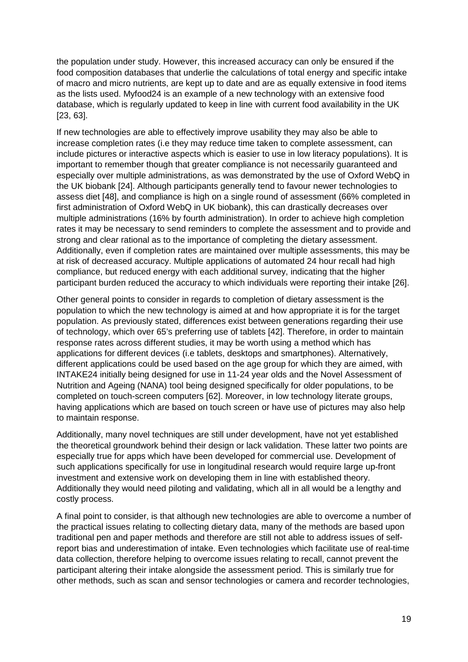the population under study. However, this increased accuracy can only be ensured if the food composition databases that underlie the calculations of total energy and specific intake of macro and micro nutrients, are kept up to date and are as equally extensive in food items as the lists used. Myfood24 is an example of a new technology with an extensive food database, which is regularly updated to keep in line with current food availability in the UK [23, 63].

If new technologies are able to effectively improve usability they may also be able to increase completion rates (i.e they may reduce time taken to complete assessment, can include pictures or interactive aspects which is easier to use in low literacy populations). It is important to remember though that greater compliance is not necessarily guaranteed and especially over multiple administrations, as was demonstrated by the use of Oxford WebQ in the UK biobank [24]. Although participants generally tend to favour newer technologies to assess diet [48], and compliance is high on a single round of assessment (66% completed in first administration of Oxford WebQ in UK biobank), this can drastically decreases over multiple administrations (16% by fourth administration). In order to achieve high completion rates it may be necessary to send reminders to complete the assessment and to provide and strong and clear rational as to the importance of completing the dietary assessment. Additionally, even if completion rates are maintained over multiple assessments, this may be at risk of decreased accuracy. Multiple applications of automated 24 hour recall had high compliance, but reduced energy with each additional survey, indicating that the higher participant burden reduced the accuracy to which individuals were reporting their intake [26].

Other general points to consider in regards to completion of dietary assessment is the population to which the new technology is aimed at and how appropriate it is for the target population. As previously stated, differences exist between generations regarding their use of technology, which over 65's preferring use of tablets [42]. Therefore, in order to maintain response rates across different studies, it may be worth using a method which has applications for different devices (i.e tablets, desktops and smartphones). Alternatively, different applications could be used based on the age group for which they are aimed, with INTAKE24 initially being designed for use in 11-24 year olds and the Novel Assessment of Nutrition and Ageing (NANA) tool being designed specifically for older populations, to be completed on touch-screen computers [62]. Moreover, in low technology literate groups, having applications which are based on touch screen or have use of pictures may also help to maintain response.

Additionally, many novel techniques are still under development, have not yet established the theoretical groundwork behind their design or lack validation. These latter two points are especially true for apps which have been developed for commercial use. Development of such applications specifically for use in longitudinal research would require large up-front investment and extensive work on developing them in line with established theory. Additionally they would need piloting and validating, which all in all would be a lengthy and costly process.

A final point to consider, is that although new technologies are able to overcome a number of the practical issues relating to collecting dietary data, many of the methods are based upon traditional pen and paper methods and therefore are still not able to address issues of selfreport bias and underestimation of intake. Even technologies which facilitate use of real-time data collection, therefore helping to overcome issues relating to recall, cannot prevent the participant altering their intake alongside the assessment period. This is similarly true for other methods, such as scan and sensor technologies or camera and recorder technologies,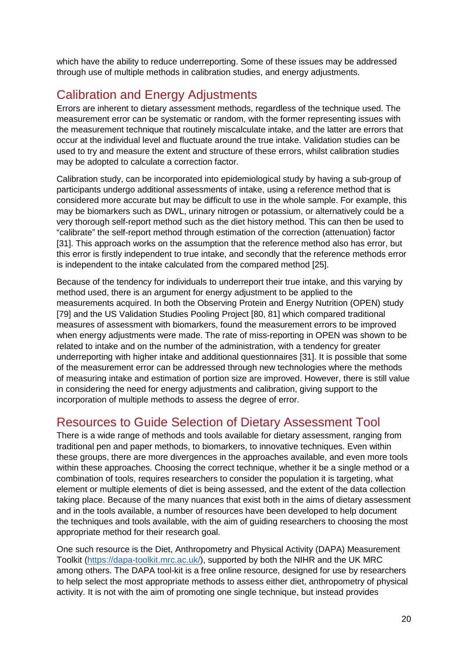which have the ability to reduce underreporting. Some of these issues may be addressed through use of multiple methods in calibration studies, and energy adjustments.

## Calibration and Energy Adjustments

Errors are inherent to dietary assessment methods, regardless of the technique used. The measurement error can be systematic or random, with the former representing issues with the measurement technique that routinely miscalculate intake, and the latter are errors that occur at the individual level and fluctuate around the true intake. Validation studies can be used to try and measure the extent and structure of these errors, whilst calibration studies may be adopted to calculate a correction factor.

Calibration study, can be incorporated into epidemiological study by having a sub-group of participants undergo additional assessments of intake, using a reference method that is considered more accurate but may be difficult to use in the whole sample. For example, this may be biomarkers such as DWL, urinary nitrogen or potassium, or alternatively could be a very thorough self-report method such as the diet history method. This can then be used to "calibrate" the self-report method through estimation of the correction (attenuation) factor [31]. This approach works on the assumption that the reference method also has error, but this error is firstly independent to true intake, and secondly that the reference methods error is independent to the intake calculated from the compared method [25].

Because of the tendency for individuals to underreport their true intake, and this varying by method used, there is an argument for energy adjustment to be applied to the measurements acquired. In both the Observing Protein and Energy Nutrition (OPEN) study [79] and the US Validation Studies Pooling Project [80, 81] which compared traditional measures of assessment with biomarkers, found the measurement errors to be improved when energy adjustments were made. The rate of miss-reporting in OPEN was shown to be related to intake and on the number of the administration, with a tendency for greater underreporting with higher intake and additional questionnaires [31]. It is possible that some of the measurement error can be addressed through new technologies where the methods of measuring intake and estimation of portion size are improved. However, there is still value in considering the need for energy adjustments and calibration, giving support to the incorporation of multiple methods to assess the degree of error.

## Resources to Guide Selection of Dietary Assessment Tool

There is a wide range of methods and tools available for dietary assessment, ranging from traditional pen and paper methods, to biomarkers, to innovative techniques. Even within these groups, there are more divergences in the approaches available, and even more tools within these approaches. Choosing the correct technique, whether it be a single method or a combination of tools, requires researchers to consider the population it is targeting, what element or multiple elements of diet is being assessed, and the extent of the data collection taking place. Because of the many nuances that exist both in the aims of dietary assessment and in the tools available, a number of resources have been developed to help document the techniques and tools available, with the aim of guiding researchers to choosing the most appropriate method for their research goal.

One such resource is the Diet, Anthropometry and Physical Activity (DAPA) Measurement Toolkit (https://dapa-toolkit.mrc.ac.uk/), supported by both the NIHR and the UK MRC among others. The DAPA tool-kit is a free online resource, designed for use by researchers to help select the most appropriate methods to assess either diet, anthropometry of physical activity. It is not with the aim of promoting one single technique, but instead provides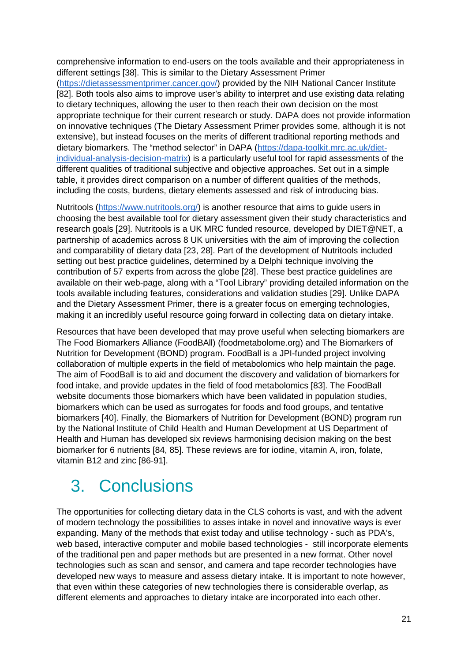comprehensive information to end-users on the tools available and their appropriateness in different settings [38]. This is similar to the Dietary Assessment Primer (https://dietassessmentprimer.cancer.gov/) provided by the NIH National Cancer Institute [82]. Both tools also aims to improve user's ability to interpret and use existing data relating to dietary techniques, allowing the user to then reach their own decision on the most appropriate technique for their current research or study. DAPA does not provide information on innovative techniques (The Dietary Assessment Primer provides some, although it is not extensive), but instead focuses on the merits of different traditional reporting methods and dietary biomarkers. The "method selector" in DAPA (https://dapa-toolkit.mrc.ac.uk/dietindividual-analysis-decision-matrix) is a particularly useful tool for rapid assessments of the different qualities of traditional subjective and objective approaches. Set out in a simple table, it provides direct comparison on a number of different qualities of the methods, including the costs, burdens, dietary elements assessed and risk of introducing bias.

Nutritools (https://www.nutritools.org/) is another resource that aims to guide users in choosing the best available tool for dietary assessment given their study characteristics and research goals [29]. Nutritools is a UK MRC funded resource, developed by DIET@NET, a partnership of academics across 8 UK universities with the aim of improving the collection and comparability of dietary data [23, 28]. Part of the development of Nutritools included setting out best practice guidelines, determined by a Delphi technique involving the contribution of 57 experts from across the globe [28]. These best practice guidelines are available on their web-page, along with a "Tool Library" providing detailed information on the tools available including features, considerations and validation studies [29]. Unlike DAPA and the Dietary Assessment Primer, there is a greater focus on emerging technologies, making it an incredibly useful resource going forward in collecting data on dietary intake.

Resources that have been developed that may prove useful when selecting biomarkers are The Food Biomarkers Alliance (FoodBAll) (foodmetabolome.org) and The Biomarkers of Nutrition for Development (BOND) program. FoodBall is a JPI-funded project involving collaboration of multiple experts in the field of metabolomics who help maintain the page. The aim of FoodBall is to aid and document the discovery and validation of biomarkers for food intake, and provide updates in the field of food metabolomics [83]. The FoodBall website documents those biomarkers which have been validated in population studies, biomarkers which can be used as surrogates for foods and food groups, and tentative biomarkers [40]. Finally, the Biomarkers of Nutrition for Development (BOND) program run by the National Institute of Child Health and Human Development at US Department of Health and Human has developed six reviews harmonising decision making on the best biomarker for 6 nutrients [84, 85]. These reviews are for iodine, vitamin A, iron, folate, vitamin B12 and zinc [86-91].

## 3. Conclusions

The opportunities for collecting dietary data in the CLS cohorts is vast, and with the advent of modern technology the possibilities to asses intake in novel and innovative ways is ever expanding. Many of the methods that exist today and utilise technology - such as PDA's, web based, interactive computer and mobile based technologies - still incorporate elements of the traditional pen and paper methods but are presented in a new format. Other novel technologies such as scan and sensor, and camera and tape recorder technologies have developed new ways to measure and assess dietary intake. It is important to note however, that even within these categories of new technologies there is considerable overlap, as different elements and approaches to dietary intake are incorporated into each other.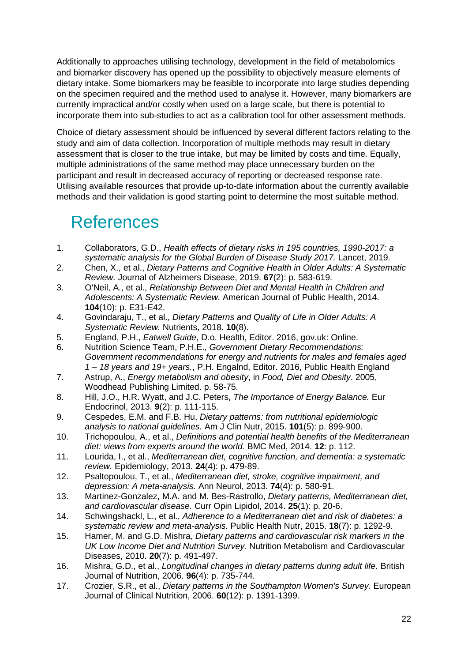Additionally to approaches utilising technology, development in the field of metabolomics and biomarker discovery has opened up the possibility to objectively measure elements of dietary intake. Some biomarkers may be feasible to incorporate into large studies depending on the specimen required and the method used to analyse it. However, many biomarkers are currently impractical and/or costly when used on a large scale, but there is potential to incorporate them into sub-studies to act as a calibration tool for other assessment methods.

Choice of dietary assessment should be influenced by several different factors relating to the study and aim of data collection. Incorporation of multiple methods may result in dietary assessment that is closer to the true intake, but may be limited by costs and time. Equally, multiple administrations of the same method may place unnecessary burden on the participant and result in decreased accuracy of reporting or decreased response rate. Utilising available resources that provide up-to-date information about the currently available methods and their validation is good starting point to determine the most suitable method.

## References

- 1. Collaborators, G.D., *Health effects of dietary risks in 195 countries, 1990-2017: a systematic analysis for the Global Burden of Disease Study 2017.* Lancet, 2019.
- 2. Chen, X., et al., *Dietary Patterns and Cognitive Health in Older Adults: A Systematic Review.* Journal of Alzheimers Disease, 2019. **67**(2): p. 583-619.
- 3. O'Neil, A., et al., *Relationship Between Diet and Mental Health in Children and Adolescents: A Systematic Review.* American Journal of Public Health, 2014. **104**(10): p. E31-E42.
- 4. Govindaraju, T., et al., *Dietary Patterns and Quality of Life in Older Adults: A Systematic Review.* Nutrients, 2018. **10**(8).
- 5. England, P.H., *Eatwell Guide*, D.o. Health, Editor. 2016, gov.uk: Online.
- 6. Nutrition Science Team, P.H.E., *Government Dietary Recommendations: Government recommendations for energy and nutrients for males and females aged 1 – 18 years and 19+ years.*, P.H. Engalnd, Editor. 2016, Public Health England
- 7. Astrup, A., *Energy metabolism and obesity*, in *Food, Diet and Obesity*. 2005, Woodhead Publishing Limited. p. 58-75.
- 8. Hill, J.O., H.R. Wyatt, and J.C. Peters, *The Importance of Energy Balance.* Eur Endocrinol, 2013. **9**(2): p. 111-115.
- 9. Cespedes, E.M. and F.B. Hu, *Dietary patterns: from nutritional epidemiologic analysis to national guidelines.* Am J Clin Nutr, 2015. **101**(5): p. 899-900.
- 10. Trichopoulou, A., et al., *Definitions and potential health benefits of the Mediterranean diet: views from experts around the world.* BMC Med, 2014. **12**: p. 112.
- 11. Lourida, I., et al., *Mediterranean diet, cognitive function, and dementia: a systematic review.* Epidemiology, 2013. **24**(4): p. 479-89.
- 12. Psaltopoulou, T., et al., *Mediterranean diet, stroke, cognitive impairment, and depression: A meta-analysis.* Ann Neurol, 2013. **74**(4): p. 580-91.
- 13. Martinez-Gonzalez, M.A. and M. Bes-Rastrollo, *Dietary patterns, Mediterranean diet, and cardiovascular disease.* Curr Opin Lipidol, 2014. **25**(1): p. 20-6.
- 14. Schwingshackl, L., et al., *Adherence to a Mediterranean diet and risk of diabetes: a systematic review and meta-analysis.* Public Health Nutr, 2015. **18**(7): p. 1292-9.
- 15. Hamer, M. and G.D. Mishra, *Dietary patterns and cardiovascular risk markers in the UK Low Income Diet and Nutrition Survey.* Nutrition Metabolism and Cardiovascular Diseases, 2010. **20**(7): p. 491-497.
- 16. Mishra, G.D., et al., *Longitudinal changes in dietary patterns during adult life.* British Journal of Nutrition, 2006. **96**(4): p. 735-744.
- 17. Crozier, S.R., et al., *Dietary patterns in the Southampton Women's Survey.* European Journal of Clinical Nutrition, 2006. **60**(12): p. 1391-1399.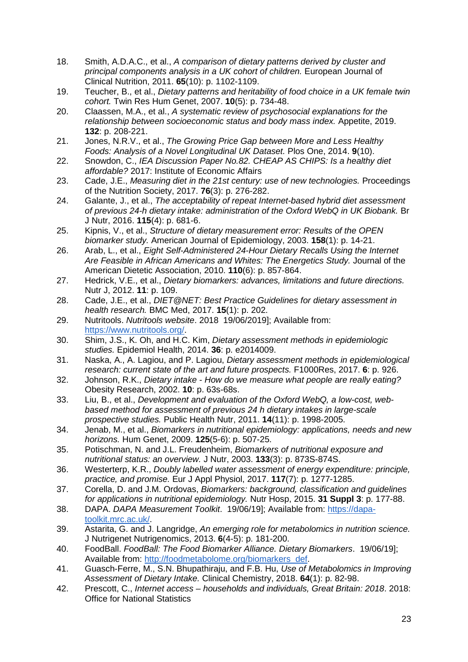- 18. Smith, A.D.A.C., et al., *A comparison of dietary patterns derived by cluster and principal components analysis in a UK cohort of children.* European Journal of Clinical Nutrition, 2011. **65**(10): p. 1102-1109.
- 19. Teucher, B., et al., *Dietary patterns and heritability of food choice in a UK female twin cohort.* Twin Res Hum Genet, 2007. **10**(5): p. 734-48.
- 20. Claassen, M.A., et al., *A systematic review of psychosocial explanations for the relationship between socioeconomic status and body mass index.* Appetite, 2019. **132**: p. 208-221.
- 21. Jones, N.R.V., et al., *The Growing Price Gap between More and Less Healthy Foods: Analysis of a Novel Longitudinal UK Dataset.* Plos One, 2014. **9**(10).
- 22. Snowdon, C., *IEA Discussion Paper No.82. CHEAP AS CHIPS: Is a healthy diet affordable?* 2017: Institute of Economic Affairs
- 23. Cade, J.E., *Measuring diet in the 21st century: use of new technologies.* Proceedings of the Nutrition Society, 2017. **76**(3): p. 276-282.
- 24. Galante, J., et al., *The acceptability of repeat Internet-based hybrid diet assessment of previous 24-h dietary intake: administration of the Oxford WebQ in UK Biobank.* Br J Nutr, 2016. **115**(4): p. 681-6.
- 25. Kipnis, V., et al., *Structure of dietary measurement error: Results of the OPEN biomarker study.* American Journal of Epidemiology, 2003. **158**(1): p. 14-21.
- 26. Arab, L., et al., *Eight Self-Administered 24-Hour Dietary Recalls Using the Internet Are Feasible in African Americans and Whites: The Energetics Study.* Journal of the American Dietetic Association, 2010. **110**(6): p. 857-864.
- 27. Hedrick, V.E., et al., *Dietary biomarkers: advances, limitations and future directions.* Nutr J, 2012. **11**: p. 109.
- 28. Cade, J.E., et al., *DIET@NET: Best Practice Guidelines for dietary assessment in health research.* BMC Med, 2017. **15**(1): p. 202.
- 29. Nutritools. *Nutritools website*. 2018 19/06/2019]; Available from: https://www.nutritools.org/.
- 30. Shim, J.S., K. Oh, and H.C. Kim, *Dietary assessment methods in epidemiologic studies.* Epidemiol Health, 2014. **36**: p. e2014009.
- 31. Naska, A., A. Lagiou, and P. Lagiou, *Dietary assessment methods in epidemiological research: current state of the art and future prospects.* F1000Res, 2017. **6**: p. 926.
- 32. Johnson, R.K., *Dietary intake How do we measure what people are really eating?* Obesity Research, 2002. **10**: p. 63s-68s.
- 33. Liu, B., et al., *Development and evaluation of the Oxford WebQ, a low-cost, webbased method for assessment of previous 24 h dietary intakes in large-scale prospective studies.* Public Health Nutr, 2011. **14**(11): p. 1998-2005.
- 34. Jenab, M., et al., *Biomarkers in nutritional epidemiology: applications, needs and new horizons.* Hum Genet, 2009. **125**(5-6): p. 507-25.
- 35. Potischman, N. and J.L. Freudenheim, *Biomarkers of nutritional exposure and nutritional status: an overview.* J Nutr, 2003. **133**(3): p. 873S-874S.
- 36. Westerterp, K.R., *Doubly labelled water assessment of energy expenditure: principle, practice, and promise.* Eur J Appl Physiol, 2017. **117**(7): p. 1277-1285.
- 37. Corella, D. and J.M. Ordovas, *Biomarkers: background, classification and guidelines for applications in nutritional epidemiology.* Nutr Hosp, 2015. **31 Suppl 3**: p. 177-88.
- 38. DAPA. *DAPA Measurement Toolkit*. 19/06/19]; Available from: https://dapatoolkit.mrc.ac.uk/.
- 39. Astarita, G. and J. Langridge, *An emerging role for metabolomics in nutrition science.* J Nutrigenet Nutrigenomics, 2013. **6**(4-5): p. 181-200.
- 40. FoodBall. *FoodBall: The Food Biomarker Alliance. Dietary Biomarkers*. 19/06/19]; Available from: http://foodmetabolome.org/biomarkers\_def.
- 41. Guasch-Ferre, M., S.N. Bhupathiraju, and F.B. Hu, *Use of Metabolomics in Improving Assessment of Dietary Intake.* Clinical Chemistry, 2018. **64**(1): p. 82-98.
- 42. Prescott, C., *Internet access households and individuals, Great Britain: 2018*. 2018: Office for National Statistics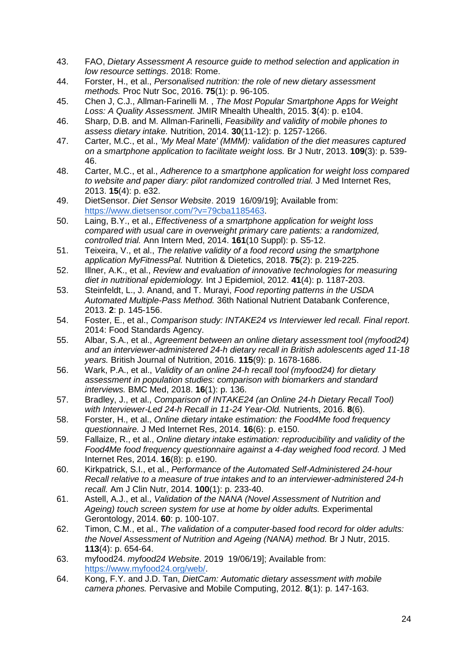- 43. FAO, *Dietary Assessment A resource guide to method selection and application in low resource settings*. 2018: Rome.
- 44. Forster, H., et al., *Personalised nutrition: the role of new dietary assessment methods.* Proc Nutr Soc, 2016. **75**(1): p. 96-105.
- 45. Chen J, C.J., Allman-Farinelli M. , *The Most Popular Smartphone Apps for Weight Loss: A Quality Assessment.* JMIR Mhealth Uhealth, 2015. **3**(4): p. e104.
- 46. Sharp, D.B. and M. Allman-Farinelli, *Feasibility and validity of mobile phones to assess dietary intake.* Nutrition, 2014. **30**(11-12): p. 1257-1266.
- 47. Carter, M.C., et al., *'My Meal Mate' (MMM): validation of the diet measures captured on a smartphone application to facilitate weight loss.* Br J Nutr, 2013. **109**(3): p. 539- 46.
- 48. Carter, M.C., et al., *Adherence to a smartphone application for weight loss compared to website and paper diary: pilot randomized controlled trial.* J Med Internet Res, 2013. **15**(4): p. e32.
- 49. DietSensor. *Diet Sensor Website*. 2019 16/09/19]; Available from: https://www.dietsensor.com/?v=79cba1185463.
- 50. Laing, B.Y., et al., *Effectiveness of a smartphone application for weight loss compared with usual care in overweight primary care patients: a randomized, controlled trial.* Ann Intern Med, 2014. **161**(10 Suppl): p. S5-12.
- 51. Teixeira, V., et al., *The relative validity of a food record using the smartphone application MyFitnessPal.* Nutrition & Dietetics, 2018. **75**(2): p. 219-225.
- 52. Illner, A.K., et al., *Review and evaluation of innovative technologies for measuring diet in nutritional epidemiology.* Int J Epidemiol, 2012. **41**(4): p. 1187-203.
- 53. Steinfeldt, L., J. Anand, and T. Murayi, *Food reporting patterns in the USDA Automated Multiple-Pass Method.* 36th National Nutrient Databank Conference, 2013. **2**: p. 145-156.
- 54. Foster, E., et al., *Comparison study: INTAKE24 vs Interviewer led recall. Final report*. 2014: Food Standards Agency.
- 55. Albar, S.A., et al., *Agreement between an online dietary assessment tool (myfood24) and an interviewer-administered 24-h dietary recall in British adolescents aged 11-18 years.* British Journal of Nutrition, 2016. **115**(9): p. 1678-1686.
- 56. Wark, P.A., et al., *Validity of an online 24-h recall tool (myfood24) for dietary assessment in population studies: comparison with biomarkers and standard interviews.* BMC Med, 2018. **16**(1): p. 136.
- 57. Bradley, J., et al., *Comparison of INTAKE24 (an Online 24-h Dietary Recall Tool) with Interviewer-Led 24-h Recall in 11-24 Year-Old.* Nutrients, 2016. **8**(6).
- 58. Forster, H., et al., *Online dietary intake estimation: the Food4Me food frequency questionnaire.* J Med Internet Res, 2014. **16**(6): p. e150.
- 59. Fallaize, R., et al., *Online dietary intake estimation: reproducibility and validity of the Food4Me food frequency questionnaire against a 4-day weighed food record.* J Med Internet Res, 2014. **16**(8): p. e190.
- 60. Kirkpatrick, S.I., et al., *Performance of the Automated Self-Administered 24-hour Recall relative to a measure of true intakes and to an interviewer-administered 24-h recall.* Am J Clin Nutr, 2014. **100**(1): p. 233-40.
- 61. Astell, A.J., et al., *Validation of the NANA (Novel Assessment of Nutrition and Ageing) touch screen system for use at home by older adults.* Experimental Gerontology, 2014. **60**: p. 100-107.
- 62. Timon, C.M., et al., *The validation of a computer-based food record for older adults: the Novel Assessment of Nutrition and Ageing (NANA) method.* Br J Nutr, 2015. **113**(4): p. 654-64.
- 63. myfood24. *myfood24 Website*. 2019 19/06/19]; Available from: https://www.myfood24.org/web/.
- 64. Kong, F.Y. and J.D. Tan, *DietCam: Automatic dietary assessment with mobile camera phones.* Pervasive and Mobile Computing, 2012. **8**(1): p. 147-163.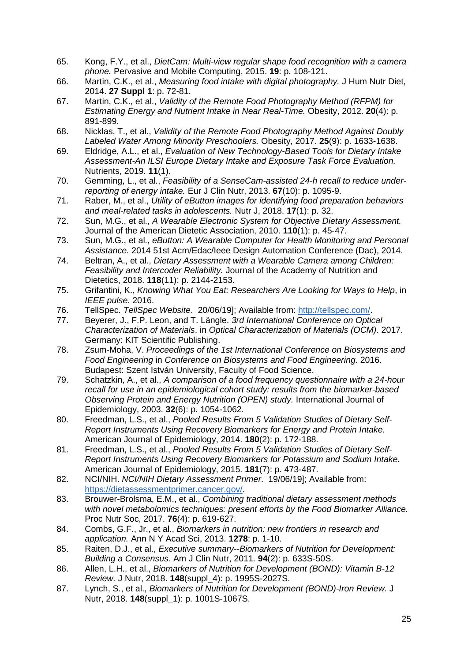- 65. Kong, F.Y., et al., *DietCam: Multi-view regular shape food recognition with a camera phone.* Pervasive and Mobile Computing, 2015. **19**: p. 108-121.
- 66. Martin, C.K., et al., *Measuring food intake with digital photography.* J Hum Nutr Diet, 2014. **27 Suppl 1**: p. 72-81.
- 67. Martin, C.K., et al., *Validity of the Remote Food Photography Method (RFPM) for Estimating Energy and Nutrient Intake in Near Real-Time.* Obesity, 2012. **20**(4): p. 891-899.
- 68. Nicklas, T., et al., *Validity of the Remote Food Photography Method Against Doubly Labeled Water Among Minority Preschoolers.* Obesity, 2017. **25**(9): p. 1633-1638.
- 69. Eldridge, A.L., et al., *Evaluation of New Technology-Based Tools for Dietary Intake Assessment-An ILSI Europe Dietary Intake and Exposure Task Force Evaluation.* Nutrients, 2019. **11**(1).
- 70. Gemming, L., et al., *Feasibility of a SenseCam-assisted 24-h recall to reduce underreporting of energy intake.* Eur J Clin Nutr, 2013. **67**(10): p. 1095-9.
- 71. Raber, M., et al., *Utility of eButton images for identifying food preparation behaviors and meal-related tasks in adolescents.* Nutr J, 2018. **17**(1): p. 32.
- 72. Sun, M.G., et al., *A Wearable Electronic System for Objective Dietary Assessment.* Journal of the American Dietetic Association, 2010. **110**(1): p. 45-47.
- 73. Sun, M.G., et al., *eButton: A Wearable Computer for Health Monitoring and Personal Assistance.* 2014 51st Acm/Edac/Ieee Design Automation Conference (Dac), 2014.
- 74. Beltran, A., et al., *Dietary Assessment with a Wearable Camera among Children: Feasibility and Intercoder Reliability.* Journal of the Academy of Nutrition and Dietetics, 2018. **118**(11): p. 2144-2153.
- 75. Grifantini, K., *Knowing What You Eat: Researchers Are Looking for Ways to Help*, in *IEEE pulse*. 2016.
- 76. TellSpec. *TellSpec Website*. 20/06/19]; Available from: http://tellspec.com/.
- 77. Beyerer, J., F.P. Leon, and T. Längle. *3rd International Conference on Optical Characterization of Materials*. in *Optical Characterization of Materials (OCM)*. 2017. Germany: KIT Scientific Publishing.
- 78. Zsum-Moha, V. *Proceedings of the 1st International Conference on Biosystems and Food Engineering* in *Conference on Biosystems and Food Engineering*. 2016. Budapest: Szent István University, Faculty of Food Science.
- 79. Schatzkin, A., et al., *A comparison of a food frequency questionnaire with a 24-hour recall for use in an epidemiological cohort study: results from the biomarker-based Observing Protein and Energy Nutrition (OPEN) study.* International Journal of Epidemiology, 2003. **32**(6): p. 1054-1062.
- 80. Freedman, L.S., et al., *Pooled Results From 5 Validation Studies of Dietary Self-Report Instruments Using Recovery Biomarkers for Energy and Protein Intake.* American Journal of Epidemiology, 2014. **180**(2): p. 172-188.
- 81. Freedman, L.S., et al., *Pooled Results From 5 Validation Studies of Dietary Self-Report Instruments Using Recovery Biomarkers for Potassium and Sodium Intake.* American Journal of Epidemiology, 2015. **181**(7): p. 473-487.
- 82. NCI/NIH. *NCI/NIH Dietary Assessment Primer*. 19/06/19]; Available from: https://dietassessmentprimer.cancer.gov/.
- 83. Brouwer-Brolsma, E.M., et al., *Combining traditional dietary assessment methods with novel metabolomics techniques: present efforts by the Food Biomarker Alliance.* Proc Nutr Soc, 2017. **76**(4): p. 619-627.
- 84. Combs, G.F., Jr., et al., *Biomarkers in nutrition: new frontiers in research and application.* Ann N Y Acad Sci, 2013. **1278**: p. 1-10.
- 85. Raiten, D.J., et al., *Executive summary--Biomarkers of Nutrition for Development: Building a Consensus.* Am J Clin Nutr, 2011. **94**(2): p. 633S-50S.
- 86. Allen, L.H., et al., *Biomarkers of Nutrition for Development (BOND): Vitamin B-12 Review.* J Nutr, 2018. **148**(suppl\_4): p. 1995S-2027S.
- 87. Lynch, S., et al., *Biomarkers of Nutrition for Development (BOND)-Iron Review.* J Nutr, 2018. **148**(suppl\_1): p. 1001S-1067S.